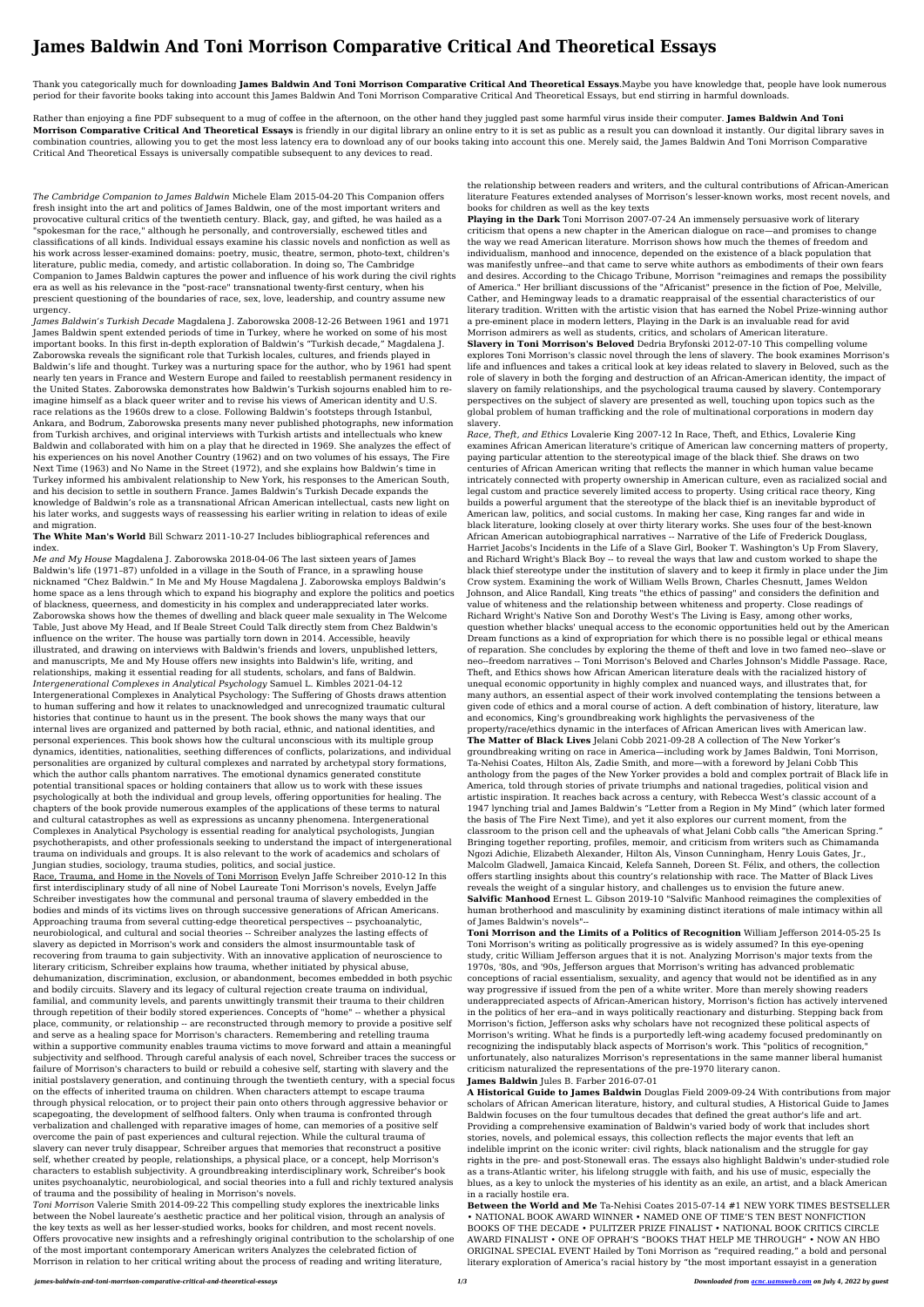# **James Baldwin And Toni Morrison Comparative Critical And Theoretical Essays**

Thank you categorically much for downloading **James Baldwin And Toni Morrison Comparative Critical And Theoretical Essays**.Maybe you have knowledge that, people have look numerous period for their favorite books taking into account this James Baldwin And Toni Morrison Comparative Critical And Theoretical Essays, but end stirring in harmful downloads.

Rather than enjoying a fine PDF subsequent to a mug of coffee in the afternoon, on the other hand they juggled past some harmful virus inside their computer. **James Baldwin And Toni Morrison Comparative Critical And Theoretical Essays** is friendly in our digital library an online entry to it is set as public as a result you can download it instantly. Our digital library saves in combination countries, allowing you to get the most less latency era to download any of our books taking into account this one. Merely said, the James Baldwin And Toni Morrison Comparative Critical And Theoretical Essays is universally compatible subsequent to any devices to read.

*The Cambridge Companion to James Baldwin* Michele Elam 2015-04-20 This Companion offers fresh insight into the art and politics of James Baldwin, one of the most important writers and provocative cultural critics of the twentieth century. Black, gay, and gifted, he was hailed as a "spokesman for the race," although he personally, and controversially, eschewed titles and classifications of all kinds. Individual essays examine his classic novels and nonfiction as well as his work across lesser-examined domains: poetry, music, theatre, sermon, photo-text, children's literature, public media, comedy, and artistic collaboration. In doing so, The Cambridge Companion to James Baldwin captures the power and influence of his work during the civil rights era as well as his relevance in the "post-race" transnational twenty-first century, when his prescient questioning of the boundaries of race, sex, love, leadership, and country assume new urgency.

*James Baldwin's Turkish Decade* Magdalena J. Zaborowska 2008-12-26 Between 1961 and 1971 James Baldwin spent extended periods of time in Turkey, where he worked on some of his most important books. In this first in-depth exploration of Baldwin's "Turkish decade," Magdalena J. Zaborowska reveals the significant role that Turkish locales, cultures, and friends played in Baldwin's life and thought. Turkey was a nurturing space for the author, who by 1961 had spent nearly ten years in France and Western Europe and failed to reestablish permanent residency in the United States. Zaborowska demonstrates how Baldwin's Turkish sojourns enabled him to reimagine himself as a black queer writer and to revise his views of American identity and U.S. race relations as the 1960s drew to a close. Following Baldwin's footsteps through Istanbul, Ankara, and Bodrum, Zaborowska presents many never published photographs, new information from Turkish archives, and original interviews with Turkish artists and intellectuals who knew Baldwin and collaborated with him on a play that he directed in 1969. She analyzes the effect of his experiences on his novel Another Country (1962) and on two volumes of his essays, The Fire Next Time (1963) and No Name in the Street (1972), and she explains how Baldwin's time in Turkey informed his ambivalent relationship to New York, his responses to the American South, and his decision to settle in southern France. James Baldwin's Turkish Decade expands the knowledge of Baldwin's role as a transnational African American intellectual, casts new light on his later works, and suggests ways of reassessing his earlier writing in relation to ideas of exile and migration.

# **The White Man's World** Bill Schwarz 2011-10-27 Includes bibliographical references and index.

*Me and My House* Magdalena J. Zaborowska 2018-04-06 The last sixteen years of James Baldwin's life (1971–87) unfolded in a village in the South of France, in a sprawling house nicknamed "Chez Baldwin." In Me and My House Magdalena J. Zaborowska employs Baldwin's home space as a lens through which to expand his biography and explore the politics and poetics of blackness, queerness, and domesticity in his complex and underappreciated later works. Zaborowska shows how the themes of dwelling and black queer male sexuality in The Welcome Table, Just above My Head, and If Beale Street Could Talk directly stem from Chez Baldwin's influence on the writer. The house was partially torn down in 2014. Accessible, heavily illustrated, and drawing on interviews with Baldwin's friends and lovers, unpublished letters, and manuscripts, Me and My House offers new insights into Baldwin's life, writing, and relationships, making it essential reading for all students, scholars, and fans of Baldwin. *Intergenerational Complexes in Analytical Psychology* Samuel L. Kimbles 2021-04-12 Intergenerational Complexes in Analytical Psychology: The Suffering of Ghosts draws attention to human suffering and how it relates to unacknowledged and unrecognized traumatic cultural histories that continue to haunt us in the present. The book shows the many ways that our internal lives are organized and patterned by both racial, ethnic, and national identities, and personal experiences. This book shows how the cultural unconscious with its multiple group dynamics, identities, nationalities, seething differences of conflicts, polarizations, and individual personalities are organized by cultural complexes and narrated by archetypal story formations, which the author calls phantom narratives. The emotional dynamics generated constitute potential transitional spaces or holding containers that allow us to work with these issues psychologically at both the individual and group levels, offering opportunities for healing. The chapters of the book provide numerous examples of the applications of these terms to natural and cultural catastrophes as well as expressions as uncanny phenomena. Intergenerational Complexes in Analytical Psychology is essential reading for analytical psychologists, Jungian psychotherapists, and other professionals seeking to understand the impact of intergenerational trauma on individuals and groups. It is also relevant to the work of academics and scholars of Jungian studies, sociology, trauma studies, politics, and social justice. Race, Trauma, and Home in the Novels of Toni Morrison Evelyn Jaffe Schreiber 2010-12 In this first interdisciplinary study of all nine of Nobel Laureate Toni Morrison's novels, Evelyn Jaffe Schreiber investigates how the communal and personal trauma of slavery embedded in the bodies and minds of its victims lives on through successive generations of African Americans. Approaching trauma from several cutting-edge theoretical perspectives -- psychoanalytic, neurobiological, and cultural and social theories -- Schreiber analyzes the lasting effects of slavery as depicted in Morrison's work and considers the almost insurmountable task of recovering from trauma to gain subjectivity. With an innovative application of neuroscience to literary criticism, Schreiber explains how trauma, whether initiated by physical abuse, dehumanization, discrimination, exclusion, or abandonment, becomes embedded in both psychic and bodily circuits. Slavery and its legacy of cultural rejection create trauma on individual, familial, and community levels, and parents unwittingly transmit their trauma to their children through repetition of their bodily stored experiences. Concepts of "home" -- whether a physical place, community, or relationship -- are reconstructed through memory to provide a positive self and serve as a healing space for Morrison's characters. Remembering and retelling trauma within a supportive community enables trauma victims to move forward and attain a meaningful subjectivity and selfhood. Through careful analysis of each novel, Schreiber traces the success or failure of Morrison's characters to build or rebuild a cohesive self, starting with slavery and the initial postslavery generation, and continuing through the twentieth century, with a special focus on the effects of inherited trauma on children. When characters attempt to escape trauma through physical relocation, or to project their pain onto others through aggressive behavior or scapegoating, the development of selfhood falters. Only when trauma is confronted through verbalization and challenged with reparative images of home, can memories of a positive self overcome the pain of past experiences and cultural rejection. While the cultural trauma of slavery can never truly disappear, Schreiber argues that memories that reconstruct a positive self, whether created by people, relationships, a physical place, or a concept, help Morrison's characters to establish subjectivity. A groundbreaking interdisciplinary work, Schreiber's book unites psychoanalytic, neurobiological, and social theories into a full and richly textured analysis of trauma and the possibility of healing in Morrison's novels. *Toni Morrison* Valerie Smith 2014-09-22 This compelling study explores the inextricable links between the Nobel laureate's aesthetic practice and her political vision, through an analysis of the key texts as well as her lesser-studied works, books for children, and most recent novels. Offers provocative new insights and a refreshingly original contribution to the scholarship of one of the most important contemporary American writers Analyzes the celebrated fiction of Morrison in relation to her critical writing about the process of reading and writing literature,

the relationship between readers and writers, and the cultural contributions of African-American literature Features extended analyses of Morrison's lesser-known works, most recent novels, and books for children as well as the key texts

**Playing in the Dark** Toni Morrison 2007-07-24 An immensely persuasive work of literary criticism that opens a new chapter in the American dialogue on race—and promises to change the way we read American literature. Morrison shows how much the themes of freedom and individualism, manhood and innocence, depended on the existence of a black population that was manifestly unfree--and that came to serve white authors as embodiments of their own fears and desires. According to the Chicago Tribune, Morrison "reimagines and remaps the possibility of America." Her brilliant discussions of the "Africanist" presence in the fiction of Poe, Melville, Cather, and Hemingway leads to a dramatic reappraisal of the essential characteristics of our literary tradition. Written with the artistic vision that has earned the Nobel Prize-winning author a pre-eminent place in modern letters, Playing in the Dark is an invaluable read for avid Morrison admirers as well as students, critics, and scholars of American literature. **Slavery in Toni Morrison's Beloved** Dedria Bryfonski 2012-07-10 This compelling volume explores Toni Morrison's classic novel through the lens of slavery. The book examines Morrison's life and influences and takes a critical look at key ideas related to slavery in Beloved, such as the role of slavery in both the forging and destruction of an African-American identity, the impact of slavery on family relationships, and the psychological trauma caused by slavery. Contemporary perspectives on the subject of slavery are presented as well, touching upon topics such as the global problem of human trafficking and the role of multinational corporations in modern day slavery.

*Race, Theft, and Ethics* Lovalerie King 2007-12 In Race, Theft, and Ethics, Lovalerie King examines African American literature's critique of American law concerning matters of property, paying particular attention to the stereotypical image of the black thief. She draws on two centuries of African American writing that reflects the manner in which human value became intricately connected with property ownership in American culture, even as racialized social and legal custom and practice severely limited access to property. Using critical race theory, King builds a powerful argument that the stereotype of the black thief is an inevitable byproduct of American law, politics, and social customs. In making her case, King ranges far and wide in black literature, looking closely at over thirty literary works. She uses four of the best-known African American autobiographical narratives -- Narrative of the Life of Frederick Douglass, Harriet Jacobs's Incidents in the Life of a Slave Girl, Booker T. Washington's Up From Slavery, and Richard Wright's Black Boy -- to reveal the ways that law and custom worked to shape the black thief stereotype under the institution of slavery and to keep it firmly in place under the Jim Crow system. Examining the work of William Wells Brown, Charles Chesnutt, James Weldon Johnson, and Alice Randall, King treats "the ethics of passing" and considers the definition and value of whiteness and the relationship between whiteness and property. Close readings of Richard Wright's Native Son and Dorothy West's The Living is Easy, among other works, question whether blacks' unequal access to the economic opportunities held out by the American Dream functions as a kind of expropriation for which there is no possible legal or ethical means of reparation. She concludes by exploring the theme of theft and love in two famed neo--slave or neo--freedom narratives -- Toni Morrison's Beloved and Charles Johnson's Middle Passage. Race, Theft, and Ethics shows how African American literature deals with the racialized history of unequal economic opportunity in highly complex and nuanced ways, and illustrates that, for many authors, an essential aspect of their work involved contemplating the tensions between a given code of ethics and a moral course of action. A deft combination of history, literature, law and economics, King's groundbreaking work highlights the pervasiveness of the property/race/ethics dynamic in the interfaces of African American lives with American law. **The Matter of Black Lives** Jelani Cobb 2021-09-28 A collection of The New Yorker's groundbreaking writing on race in America—including work by James Baldwin, Toni Morrison, Ta-Nehisi Coates, Hilton Als, Zadie Smith, and more—with a foreword by Jelani Cobb This anthology from the pages of the New Yorker provides a bold and complex portrait of Black life in America, told through stories of private triumphs and national tragedies, political vision and artistic inspiration. It reaches back across a century, with Rebecca West's classic account of a 1947 lynching trial and James Baldwin's "Letter from a Region in My Mind" (which later formed the basis of The Fire Next Time), and yet it also explores our current moment, from the classroom to the prison cell and the upheavals of what Jelani Cobb calls "the American Spring." Bringing together reporting, profiles, memoir, and criticism from writers such as Chimamanda Ngozi Adichie, Elizabeth Alexander, Hilton Als, Vinson Cunningham, Henry Louis Gates, Jr., Malcolm Gladwell, Jamaica Kincaid, Kelefa Sanneh, Doreen St. Félix, and others, the collection offers startling insights about this country's relationship with race. The Matter of Black Lives reveals the weight of a singular history, and challenges us to envision the future anew. **Salvific Manhood** Ernest L. Gibson 2019-10 "Salvific Manhood reimagines the complexities of human brotherhood and masculinity by examining distinct iterations of male intimacy within all of James Baldwin's novels"-- **Toni Morrison and the Limits of a Politics of Recognition** William Jefferson 2014-05-25 Is Toni Morrison's writing as politically progressive as is widely assumed? In this eye-opening study, critic William Jefferson argues that it is not. Analyzing Morrison's major texts from the 1970s, '80s, and '90s, Jefferson argues that Morrison's writing has advanced problematic conceptions of racial essentialism, sexuality, and agency that would not be identified as in any way progressive if issued from the pen of a white writer. More than merely showing readers underappreciated aspects of African-American history, Morrison's fiction has actively intervened in the politics of her era--and in ways politically reactionary and disturbing. Stepping back from Morrison's fiction, Jefferson asks why scholars have not recognized these political aspects of Morrison's writing. What he finds is a purportedly left-wing academy focused predominantly on recognizing the indisputably black aspects of Morrison's work. This "politics of recognition," unfortunately, also naturalizes Morrison's representations in the same manner liberal humanist criticism naturalized the representations of the pre-1970 literary canon.

### **James Baldwin** Jules B. Farber 2016-07-01

**A Historical Guide to James Baldwin** Douglas Field 2009-09-24 With contributions from major scholars of African American literature, history, and cultural studies, A Historical Guide to James Baldwin focuses on the four tumultous decades that defined the great author's life and art. Providing a comprehensive examination of Baldwin's varied body of work that includes short stories, novels, and polemical essays, this collection reflects the major events that left an indelible imprint on the iconic writer: civil rights, black nationalism and the struggle for gay rights in the pre- and post-Stonewall eras. The essays also highlight Baldwin's under-studied role as a trans-Atlantic writer, his lifelong struggle with faith, and his use of music, especially the blues, as a key to unlock the mysteries of his identity as an exile, an artist, and a black American in a racially hostile era.

**Between the World and Me** Ta-Nehisi Coates 2015-07-14 #1 NEW YORK TIMES BESTSELLER • NATIONAL BOOK AWARD WINNER • NAMED ONE OF TIME'S TEN BEST NONFICTION BOOKS OF THE DECADE • PULITZER PRIZE FINALIST • NATIONAL BOOK CRITICS CIRCLE AWARD FINALIST • ONE OF OPRAH'S "BOOKS THAT HELP ME THROUGH" • NOW AN HBO ORIGINAL SPECIAL EVENT Hailed by Toni Morrison as "required reading," a bold and personal literary exploration of America's racial history by "the most important essayist in a generation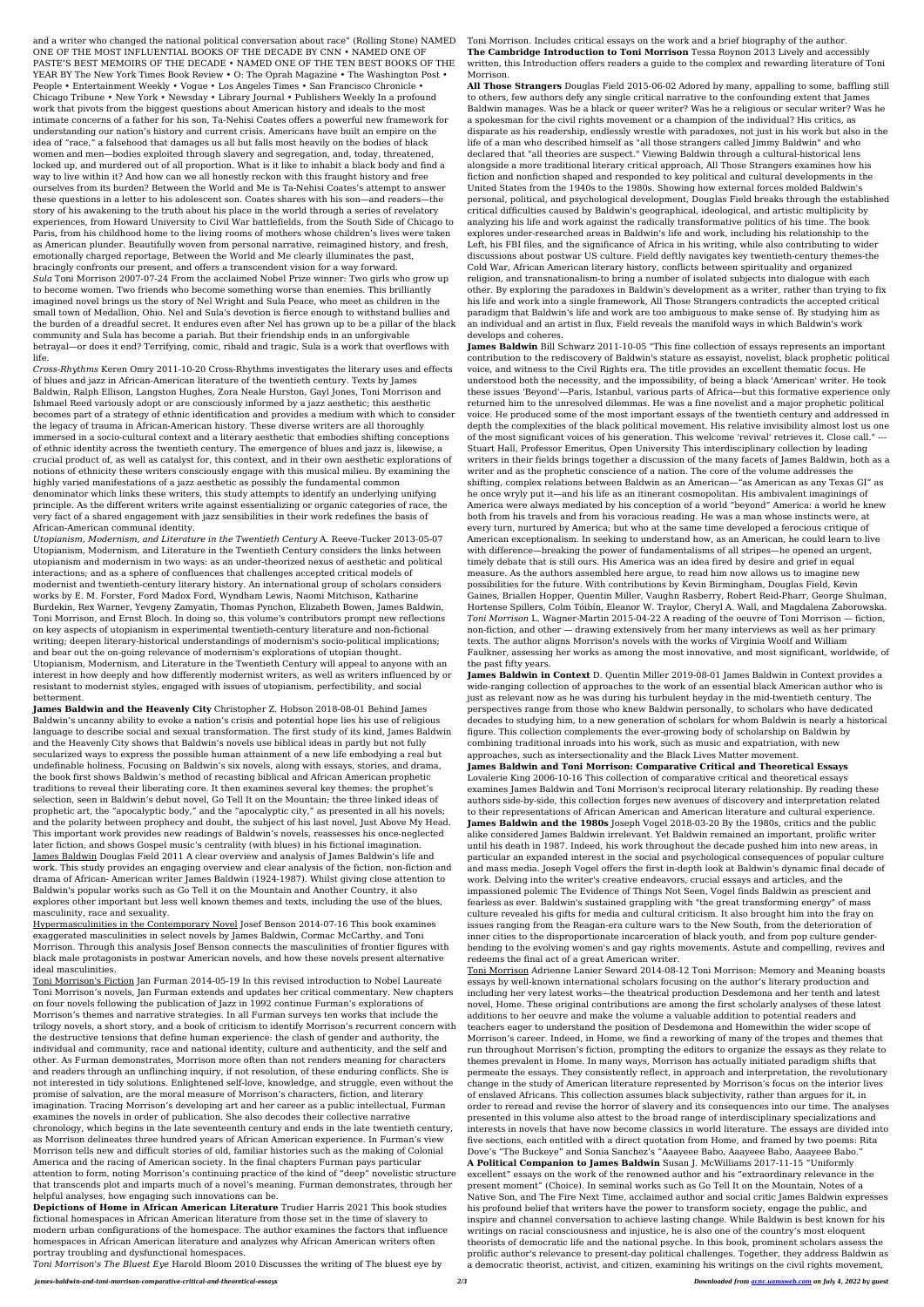and a writer who changed the national political conversation about race" (Rolling Stone) NAMED ONE OF THE MOST INFLUENTIAL BOOKS OF THE DECADE BY CNN • NAMED ONE OF PASTE'S BEST MEMOIRS OF THE DECADE • NAMED ONE OF THE TEN BEST BOOKS OF THE YEAR BY The New York Times Book Review • O: The Oprah Magazine • The Washington Post • People • Entertainment Weekly • Vogue • Los Angeles Times • San Francisco Chronicle • Chicago Tribune • New York • Newsday • Library Journal • Publishers Weekly In a profound work that pivots from the biggest questions about American history and ideals to the most intimate concerns of a father for his son, Ta-Nehisi Coates offers a powerful new framework for understanding our nation's history and current crisis. Americans have built an empire on the idea of "race," a falsehood that damages us all but falls most heavily on the bodies of black women and men—bodies exploited through slavery and segregation, and, today, threatened, locked up, and murdered out of all proportion. What is it like to inhabit a black body and find a way to live within it? And how can we all honestly reckon with this fraught history and free ourselves from its burden? Between the World and Me is Ta-Nehisi Coates's attempt to answer these questions in a letter to his adolescent son. Coates shares with his son—and readers—the story of his awakening to the truth about his place in the world through a series of revelatory experiences, from Howard University to Civil War battlefields, from the South Side of Chicago to Paris, from his childhood home to the living rooms of mothers whose children's lives were taken as American plunder. Beautifully woven from personal narrative, reimagined history, and fresh, emotionally charged reportage, Between the World and Me clearly illuminates the past, bracingly confronts our present, and offers a transcendent vision for a way forward. *Sula* Toni Morrison 2007-07-24 From the acclaimed Nobel Prize winner: Two girls who grow up to become women. Two friends who become something worse than enemies. This brilliantly imagined novel brings us the story of Nel Wright and Sula Peace, who meet as children in the small town of Medallion, Ohio. Nel and Sula's devotion is fierce enough to withstand bullies and the burden of a dreadful secret. It endures even after Nel has grown up to be a pillar of the black community and Sula has become a pariah. But their friendship ends in an unforgivable betrayal—or does it end? Terrifying, comic, ribald and tragic, Sula is a work that overflows with life.

*Cross-Rhythms* Keren Omry 2011-10-20 Cross-Rhythms investigates the literary uses and effects of blues and jazz in African-American literature of the twentieth century. Texts by James Baldwin, Ralph Ellison, Langston Hughes, Zora Neale Hurston, Gayl Jones, Toni Morrison and Ishmael Reed variously adopt or are consciously informed by a jazz aesthetic; this aesthetic becomes part of a strategy of ethnic identification and provides a medium with which to consider the legacy of trauma in African-American history. These diverse writers are all thoroughly immersed in a socio-cultural context and a literary aesthetic that embodies shifting conceptions of ethnic identity across the twentieth century. The emergence of blues and jazz is, likewise, a crucial product of, as well as catalyst for, this context, and in their own aesthetic explorations of notions of ethnicity these writers consciously engage with this musical milieu. By examining the highly varied manifestations of a jazz aesthetic as possibly the fundamental common denominator which links these writers, this study attempts to identify an underlying unifying principle. As the different writers write against essentializing or organic categories of race, the very fact of a shared engagement with jazz sensibilities in their work redefines the basis of African-American communal identity.

*Utopianism, Modernism, and Literature in the Twentieth Century* A. Reeve-Tucker 2013-05-07 Utopianism, Modernism, and Literature in the Twentieth Century considers the links between utopianism and modernism in two ways: as an under-theorized nexus of aesthetic and political interactions; and as a sphere of confluences that challenges accepted critical models of modernist and twentieth-century literary history. An international group of scholars considers works by E. M. Forster, Ford Madox Ford, Wyndham Lewis, Naomi Mitchison, Katharine Burdekin, Rex Warner, Yevgeny Zamyatin, Thomas Pynchon, Elizabeth Bowen, James Baldwin, Toni Morrison, and Ernst Bloch. In doing so, this volume's contributors prompt new reflections on key aspects of utopianism in experimental twentieth-century literature and non-fictional writing; deepen literary-historical understandings of modernism's socio-political implications; and bear out the on-going relevance of modernism's explorations of utopian thought. Utopianism, Modernism, and Literature in the Twentieth Century will appeal to anyone with an interest in how deeply and how differently modernist writers, as well as writers influenced by or resistant to modernist styles, engaged with issues of utopianism, perfectibility, and social betterment. **James Baldwin and the Heavenly City** Christopher Z. Hobson 2018-08-01 Behind James Baldwin's uncanny ability to evoke a nation's crisis and potential hope lies his use of religious language to describe social and sexual transformation. The first study of its kind, James Baldwin and the Heavenly City shows that Baldwin's novels use biblical ideas in partly but not fully secularized ways to express the possible human attainment of a new life embodying a real but undefinable holiness. Focusing on Baldwin's six novels, along with essays, stories, and drama, the book first shows Baldwin's method of recasting biblical and African American prophetic traditions to reveal their liberating core. It then examines several key themes: the prophet's selection, seen in Baldwin's debut novel, Go Tell It on the Mountain; the three linked ideas of prophetic art, the "apocalyptic body," and the "apocalyptic city," as presented in all his novels; and the polarity between prophecy and doubt, the subject of his last novel, Just Above My Head. This important work provides new readings of Baldwin's novels, reassesses his once-neglected later fiction, and shows Gospel music's centrality (with blues) in his fictional imagination. James Baldwin Douglas Field 2011 A clear overview and analysis of James Baldwin's life and work. This study provides an engaging overview and clear analysis of the fiction, non-fiction and drama of African- American writer James Baldwin (1924-1987). Whilst giving close attention to Baldwin's popular works such as Go Tell it on the Mountain and Another Country, it also explores other important but less well known themes and texts, including the use of the blues, masculinity, race and sexuality. Hypermasculinities in the Contemporary Novel Josef Benson 2014-07-16 This book examines exaggerated masculinities in select novels by James Baldwin, Cormac McCarthy, and Toni Morrison. Through this analysis Josef Benson connects the masculinities of frontier figures with black male protagonists in postwar American novels, and how these novels present alternative ideal masculinities. Toni Morrison's Fiction Jan Furman 2014-05-19 In this revised introduction to Nobel Laureate Toni Morrison's novels, Jan Furman extends and updates her critical commentary. New chapters on four novels following the publication of Jazz in 1992 continue Furman's explorations of Morrison's themes and narrative strategies. In all Furman surveys ten works that include the trilogy novels, a short story, and a book of criticism to identify Morrison's recurrent concern with the destructive tensions that define human experience: the clash of gender and authority, the individual and community, race and national identity, culture and authenticity, and the self and other. As Furman demonstrates, Morrison more often than not renders meaning for characters and readers through an unflinching inquiry, if not resolution, of these enduring conflicts. She is not interested in tidy solutions. Enlightened self-love, knowledge, and struggle, even without the promise of salvation, are the moral measure of Morrison's characters, fiction, and literary imagination. Tracing Morrison's developing art and her career as a public intellectual, Furman examines the novels in order of publication. She also decodes their collective narrative chronology, which begins in the late seventeenth century and ends in the late twentieth century, as Morrison delineates three hundred years of African American experience. In Furman's view Morrison tells new and difficult stories of old, familiar histories such as the making of Colonial America and the racing of American society. In the final chapters Furman pays particular attention to form, noting Morrison's continuing practice of the kind of "deep" novelistic structure that transcends plot and imparts much of a novel's meaning. Furman demonstrates, through her helpful analyses, how engaging such innovations can be.

**Depictions of Home in African American Literature** Trudier Harris 2021 This book studies fictional homespaces in African American literature from those set in the time of slavery to modern urban configurations of the homespace. The author examines the factors that influence homespaces in African American literature and analyzes why African American writers often portray troubling and dysfunctional homespaces.

*Toni Morrison's The Bluest Eye* Harold Bloom 2010 Discusses the writing of The bluest eye by

Toni Morrison. Includes critical essays on the work and a brief biography of the author. **The Cambridge Introduction to Toni Morrison** Tessa Roynon 2013 Lively and accessibly written, this Introduction offers readers a guide to the complex and rewarding literature of Toni Morrison.

**All Those Strangers** Douglas Field 2015-06-02 Adored by many, appalling to some, baffling still to others, few authors defy any single critical narrative to the confounding extent that James Baldwin manages. Was he a black or queer writer? Was he a religious or secular writer? Was he a spokesman for the civil rights movement or a champion of the individual? His critics, as disparate as his readership, endlessly wrestle with paradoxes, not just in his work but also in the life of a man who described himself as "all those strangers called Jimmy Baldwin" and who declared that "all theories are suspect." Viewing Baldwin through a cultural-historical lens alongside a more traditional literary critical approach, All Those Strangers examines how his fiction and nonfiction shaped and responded to key political and cultural developments in the United States from the 1940s to the 1980s. Showing how external forces molded Baldwin's personal, political, and psychological development, Douglas Field breaks through the established critical difficulties caused by Baldwin's geographical, ideological, and artistic multiplicity by analyzing his life and work against the radically transformative politics of his time. The book explores under-researched areas in Baldwin's life and work, including his relationship to the Left, his FBI files, and the significance of Africa in his writing, while also contributing to wider discussions about postwar US culture. Field deftly navigates key twentieth-century themes-the Cold War, African American literary history, conflicts between spirituality and organized religion, and transnationalism-to bring a number of isolated subjects into dialogue with each other. By exploring the paradoxes in Baldwin's development as a writer, rather than trying to fix his life and work into a single framework, All Those Strangers contradicts the accepted critical paradigm that Baldwin's life and work are too ambiguous to make sense of. By studying him as an individual and an artist in flux, Field reveals the manifold ways in which Baldwin's work develops and coheres.

**James Baldwin** Bill Schwarz 2011-10-05 "This fine collection of essays represents an important contribution to the rediscovery of Baldwin's stature as essayist, novelist, black prophetic political voice, and witness to the Civil Rights era. The title provides an excellent thematic focus. He understood both the necessity, and the impossibility, of being a black 'American' writer. He took these issues 'Beyond'---Paris, Istanbul, various parts of Africa---but this formative experience only returned him to the unresolved dilemmas. He was a fine novelist and a major prophetic political voice. He produced some of the most important essays of the twentieth century and addressed in depth the complexities of the black political movement. His relative invisibility almost lost us one of the most significant voices of his generation. This welcome 'revival' retrieves it. Close call." --- Stuart Hall, Professor Emeritus, Open University This interdisciplinary collection by leading writers in their fields brings together a discussion of the many facets of James Baldwin, both as a writer and as the prophetic conscience of a nation. The core of the volume addresses the shifting, complex relations between Baldwin as an American—"as American as any Texas GI" as he once wryly put it—and his life as an itinerant cosmopolitan. His ambivalent imaginings of America were always mediated by his conception of a world "beyond" America: a world he knew both from his travels and from his voracious reading. He was a man whose instincts were, at every turn, nurtured by America; but who at the same time developed a ferocious critique of American exceptionalism. In seeking to understand how, as an American, he could learn to live with difference—breaking the power of fundamentalisms of all stripes—he opened an urgent, timely debate that is still ours. His America was an idea fired by desire and grief in equal measure. As the authors assembled here argue, to read him now allows us to imagine new possibilities for the future. With contributions by Kevin Birmingham, Douglas Field, Kevin Gaines, Briallen Hopper, Quentin Miller, Vaughn Rasberry, Robert Reid-Pharr, George Shulman, Hortense Spillers, Colm Tóibín, Eleanor W. Traylor, Cheryl A. Wall, and Magdalena Zaborowska. *Toni Morrison* L. Wagner-Martin 2015-04-22 A reading of the oeuvre of Toni Morrison — fiction, non-fiction, and other — drawing extensively from her many interviews as well as her primary texts. The author aligns Morrison's novels with the works of Virginia Woolf and William Faulkner, assessing her works as among the most innovative, and most significant, worldwide, of the past fifty years.

**James Baldwin in Context** D. Quentin Miller 2019-08-01 James Baldwin in Context provides a wide-ranging collection of approaches to the work of an essential black American author who is just as relevant now as he was during his turbulent heyday in the mid-twentieth century. The perspectives range from those who knew Baldwin personally, to scholars who have dedicated decades to studying him, to a new generation of scholars for whom Baldwin is nearly a historical figure. This collection complements the ever-growing body of scholarship on Baldwin by combining traditional inroads into his work, such as music and expatriation, with new approaches, such as intersectionality and the Black Lives Matter movement. **James Baldwin and Toni Morrison: Comparative Critical and Theoretical Essays** Lovalerie King 2006-10-16 This collection of comparative critical and theoretical essays examines James Baldwin and Toni Morrison's reciprocal literary relationship. By reading these authors side-by-side, this collection forges new avenues of discovery and interpretation related to their representations of African American and American literature and cultural experience. **James Baldwin and the 1980s** Joseph Vogel 2018-03-20 By the 1980s, critics and the public alike considered James Baldwin irrelevant. Yet Baldwin remained an important, prolific writer until his death in 1987. Indeed, his work throughout the decade pushed him into new areas, in particular an expanded interest in the social and psychological consequences of popular culture and mass media. Joseph Vogel offers the first in-depth look at Baldwin's dynamic final decade of work. Delving into the writer's creative endeavors, crucial essays and articles, and the impassioned polemic The Evidence of Things Not Seen, Vogel finds Baldwin as prescient and fearless as ever. Baldwin's sustained grappling with "the great transforming energy" of mass culture revealed his gifts for media and cultural criticism. It also brought him into the fray on issues ranging from the Reagan-era culture wars to the New South, from the deterioration of inner cities to the disproportionate incarceration of black youth, and from pop culture genderbending to the evolving women's and gay rights movements. Astute and compelling, revives and redeems the final act of a great American writer. Toni Morrison Adrienne Lanier Seward 2014-08-12 Toni Morrison: Memory and Meaning boasts essays by well-known international scholars focusing on the author's literary production and including her very latest works—the theatrical production Desdemona and her tenth and latest novel, Home. These original contributions are among the first scholarly analyses of these latest additions to her oeuvre and make the volume a valuable addition to potential readers and teachers eager to understand the position of Desdemona and Homewithin the wider scope of Morrison's career. Indeed, in Home, we find a reworking of many of the tropes and themes that run throughout Morrison's fiction, prompting the editors to organize the essays as they relate to themes prevalent in Home. In many ways, Morrison has actually initiated paradigm shifts that permeate the essays. They consistently reflect, in approach and interpretation, the revolutionary change in the study of American literature represented by Morrison's focus on the interior lives of enslaved Africans. This collection assumes black subjectivity, rather than argues for it, in order to reread and revise the horror of slavery and its consequences into our time. The analyses presented in this volume also attest to the broad range of interdisciplinary specializations and interests in novels that have now become classics in world literature. The essays are divided into five sections, each entitled with a direct quotation from Home, and framed by two poems: Rita Dove's "The Buckeye" and Sonia Sanchez's "Aaayeee Babo, Aaayeee Babo, Aaayeee Babo." **A Political Companion to James Baldwin** Susan J. McWilliams 2017-11-15 "Uniformly excellent" essays on the work of the renowned author and his "extraordinary relevance in the present moment" (Choice). In seminal works such as Go Tell It on the Mountain, Notes of a Native Son, and The Fire Next Time, acclaimed author and social critic James Baldwin expresses his profound belief that writers have the power to transform society, engage the public, and inspire and channel conversation to achieve lasting change. While Baldwin is best known for his writings on racial consciousness and injustice, he is also one of the country's most eloquent theorists of democratic life and the national psyche. In this book, prominent scholars assess the prolific author's relevance to present-day political challenges. Together, they address Baldwin as a democratic theorist, activist, and citizen, examining his writings on the civil rights movement,